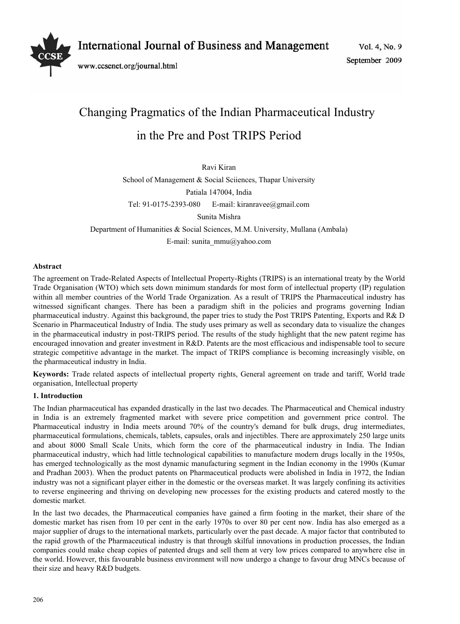

# Changing Pragmatics of the Indian Pharmaceutical Industry in the Pre and Post TRIPS Period

Ravi Kiran

School of Management & Social Sciiences, Thapar University

Patiala 147004, India

Tel: 91-0175-2393-080 E-mail: kiranravee@gmail.com

Sunita Mishra

Department of Humanities & Social Sciences, M.M. University, Mullana (Ambala)

E-mail: sunita\_mmu@yahoo.com

### **Abstract**

The agreement on Trade-Related Aspects of Intellectual Property-Rights (TRIPS) is an international treaty by the World Trade Organisation (WTO) which sets down minimum standards for most form of intellectual property (IP) regulation within all member countries of the World Trade Organization. As a result of TRIPS the Pharmaceutical industry has witnessed significant changes. There has been a paradigm shift in the policies and programs governing Indian pharmaceutical industry. Against this background, the paper tries to study the Post TRIPS Patenting, Exports and R& D Scenario in Pharmaceutical Industry of India. The study uses primary as well as secondary data to visualize the changes in the pharmaceutical industry in post-TRIPS period. The results of the study highlight that the new patent regime has encouraged innovation and greater investment in R&D. Patents are the most efficacious and indispensable tool to secure strategic competitive advantage in the market. The impact of TRIPS compliance is becoming increasingly visible, on the pharmaceutical industry in India.

**Keywords:** Trade related aspects of intellectual property rights, General agreement on trade and tariff, World trade organisation, Intellectual property

#### **1. Introduction**

The Indian pharmaceutical has expanded drastically in the last two decades. The Pharmaceutical and Chemical industry in India is an extremely fragmented market with severe price competition and government price control. The Pharmaceutical industry in India meets around 70% of the country's demand for bulk drugs, drug intermediates, pharmaceutical formulations, chemicals, tablets, capsules, orals and injectibles. There are approximately 250 large units and about 8000 Small Scale Units, which form the core of the pharmaceutical industry in India. The Indian pharmaceutical industry, which had little technological capabilities to manufacture modern drugs locally in the 1950s, has emerged technologically as the most dynamic manufacturing segment in the Indian economy in the 1990s (Kumar and Pradhan 2003). When the product patents on Pharmaceutical products were abolished in India in 1972, the Indian industry was not a significant player either in the domestic or the overseas market. It was largely confining its activities to reverse engineering and thriving on developing new processes for the existing products and catered mostly to the domestic market.

In the last two decades, the Pharmaceutical companies have gained a firm footing in the market, their share of the domestic market has risen from 10 per cent in the early 1970s to over 80 per cent now. India has also emerged as a major supplier of drugs to the international markets, particularly over the past decade. A major factor that contributed to the rapid growth of the Pharmaceutical industry is that through skilful innovations in production processes, the Indian companies could make cheap copies of patented drugs and sell them at very low prices compared to anywhere else in the world. However, this favourable business environment will now undergo a change to favour drug MNCs because of their size and heavy R&D budgets.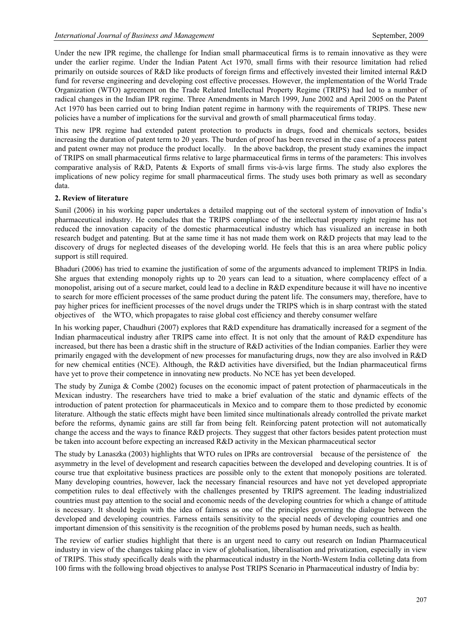Under the new IPR regime, the challenge for Indian small pharmaceutical firms is to remain innovative as they were under the earlier regime. Under the Indian Patent Act 1970, small firms with their resource limitation had relied primarily on outside sources of R&D like products of foreign firms and effectively invested their limited internal R&D fund for reverse engineering and developing cost effective processes. However, the implementation of the World Trade Organization (WTO) agreement on the Trade Related Intellectual Property Regime (TRIPS) had led to a number of radical changes in the Indian IPR regime. Three Amendments in March 1999, June 2002 and April 2005 on the Patent Act 1970 has been carried out to bring Indian patent regime in harmony with the requirements of TRIPS. These new policies have a number of implications for the survival and growth of small pharmaceutical firms today.

This new IPR regime had extended patent protection to products in drugs, food and chemicals sectors, besides increasing the duration of patent term to 20 years. The burden of proof has been reversed in the case of a process patent and patent owner may not produce the product locally. In the above backdrop, the present study examines the impact of TRIPS on small pharmaceutical firms relative to large pharmaceutical firms in terms of the parameters: This involves comparative analysis of R&D, Patents & Exports of small firms vis-à-vis large firms. The study also explores the implications of new policy regime for small pharmaceutical firms. The study uses both primary as well as secondary data.

#### **2. Review of literature**

Sunil (2006) in his working paper undertakes a detailed mapping out of the sectoral system of innovation of India's pharmaceutical industry. He concludes that the TRIPS compliance of the intellectual property right regime has not reduced the innovation capacity of the domestic pharmaceutical industry which has visualized an increase in both research budget and patenting. But at the same time it has not made them work on R&D projects that may lead to the discovery of drugs for neglected diseases of the developing world. He feels that this is an area where public policy support is still required.

Bhaduri (2006) has tried to examine the justification of some of the arguments advanced to implement TRIPS in India. She argues that extending monopoly rights up to 20 years can lead to a situation, where complacency effect of a monopolist, arising out of a secure market, could lead to a decline in R&D expenditure because it will have no incentive to search for more efficient processes of the same product during the patent life. The consumers may, therefore, have to pay higher prices for inefficient processes of the novel drugs under the TRIPS which is in sharp contrast with the stated objectives of the WTO, which propagates to raise global cost efficiency and thereby consumer welfare

In his working paper, Chaudhuri (2007) explores that R&D expenditure has dramatically increased for a segment of the Indian pharmaceutical industry after TRIPS came into effect. It is not only that the amount of R&D expenditure has increased, but there has been a drastic shift in the structure of R&D activities of the Indian companies. Earlier they were primarily engaged with the development of new processes for manufacturing drugs, now they are also involved in R&D for new chemical entities (NCE). Although, the R&D activities have diversified, but the Indian pharmaceutical firms have yet to prove their competence in innovating new products. No NCE has yet been developed.

The study by Zuniga & Combe (2002) focuses on the economic impact of patent protection of pharmaceuticals in the Mexican industry. The researchers have tried to make a brief evaluation of the static and dynamic effects of the introduction of patent protection for pharmaceuticals in Mexico and to compare them to those predicted by economic literature. Although the static effects might have been limited since multinationals already controlled the private market before the reforms, dynamic gains are still far from being felt. Reinforcing patent protection will not automatically change the access and the ways to finance R&D projects. They suggest that other factors besides patent protection must be taken into account before expecting an increased R&D activity in the Mexican pharmaceutical sector

The study by Lanaszka (2003) highlights that WTO rules on IPRs are controversial because of the persistence of the asymmetry in the level of development and research capacities between the developed and developing countries. It is of course true that exploitative business practices are possible only to the extent that monopoly positions are tolerated. Many developing countries, however, lack the necessary financial resources and have not yet developed appropriate competition rules to deal effectively with the challenges presented by TRIPS agreement. The leading industrialized countries must pay attention to the social and economic needs of the developing countries for which a change of attitude is necessary. It should begin with the idea of fairness as one of the principles governing the dialogue between the developed and developing countries. Farness entails sensitivity to the special needs of developing countries and one important dimension of this sensitivity is the recognition of the problems posed by human needs, such as health.

The review of earlier studies highlight that there is an urgent need to carry out research on Indian Pharmaceutical industry in view of the changes taking place in view of globalisation, liberalisation and privatization, especially in view of TRIPS. This study specifically deals with the pharmaceutical industry in the North-Western India colleting data from 100 firms with the following broad objectives to analyse Post TRIPS Scenario in Pharmaceutical industry of India by: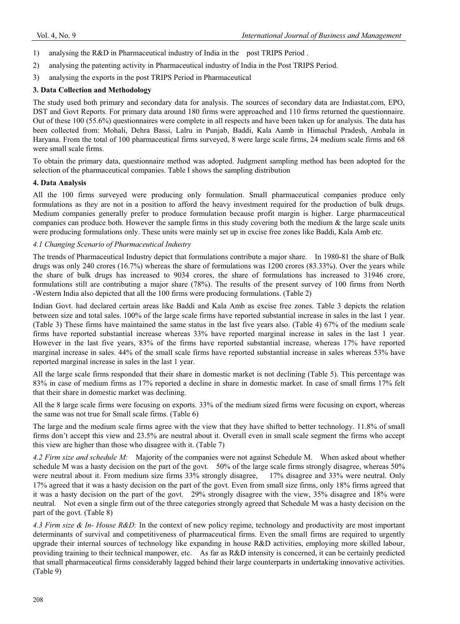- 1) analysing the R&D in Pharmaceutical industry of India in the post TRIPS Period .
- 2) analysing the patenting activity in Pharmaceutical industry of India in the Post TRIPS Period.
- 3) analysing the exports in the post TRIPS Period in Pharmaceutical

# **3. Data Collection and Methodology**

The study used both primary and secondary data for analysis. The sources of secondary data are Indiastat.com, EPO, DST and Govt Reports. For primary data around 180 firms were approached and 110 firms returned the questionnaire. Out of these 100 (55.6%) questionnaires were complete in all respects and have been taken up for analysis. The data has been collected from: Mohali, Dehra Bassi, Lalru in Punjab, Baddi, Kala Aamb in Himachal Pradesh, Ambala in Haryana. From the total of 100 pharmaceutical firms surveyed, 8 were large scale firms, 24 medium scale firms and 68 were small scale firms.

To obtain the primary data, questionnaire method was adopted. Judgment sampling method has been adopted for the selection of the pharmaceutical companies. Table I shows the sampling distribution

# **4. Data Analysis**

All the 100 firms surveyed were producing only formulation. Small pharmaceutical companies produce only formulations as they are not in a position to afford the heavy investment required for the production of bulk drugs. Medium companies generally prefer to produce formulation because profit margin is higher. Large pharmaceutical companies can produce both. However the sample firms in this study covering both the medium  $\&$  the large scale units were producing formulations only. These units were mainly set up in excise free zones like Baddi, Kala Amb etc.

# *4.1 Changing Scenario of Pharmaceutical Industry*

The trends of Pharmaceutical Industry depict that formulations contribute a major share. In 1980-81 the share of Bulk drugs was only 240 crores (16.7%) whereas the share of formulations was 1200 crores (83.33%). Over the years while the share of bulk drugs has increased to 9034 crores, the share of formulations has increased to 31946 crore, formulations still are contributing a major share (78%). The results of the present survey of 100 firms from North -Western India also depicted that all the 100 firms were producing formulations. (Table 2)

Indian Govt. had declared certain areas like Baddi and Kala Amb as excise free zones. Table 3 depicts the relation between size and total sales. 100% of the large scale firms have reported substantial increase in sales in the last 1 year. (Table 3) These firms have maintained the same status in the last five years also. (Table 4) 67% of the medium scale firms have reported substantial increase whereas 33% have reported marginal increase in sales in the last 1 year. However in the last five years, 83% of the firms have reported substantial increase, whereas 17% have reported marginal increase in sales. 44% of the small scale firms have reported substantial increase in sales whereas 53% have reported marginal increase in sales in the last 1 year.

All the large scale firms responded that their share in domestic market is not declining (Table 5). This percentage was 83% in case of medium firms as 17% reported a decline in share in domestic market. In case of small firms 17% felt that their share in domestic market was declining.

All the 8 large scale firms were focusing on exports. 33% of the medium sized firms were focusing on export, whereas the same was not true for Small scale firms. (Table 6)

The large and the medium scale firms agree with the view that they have shifted to better technology. 11.8% of small firms don't accept this view and 23.5% are neutral about it. Overall even in small scale segment the firms who accept this view are higher than those who disagree with it. (Table 7)

*4.2 Firm size and schedule M:* Majority of the companies were not against Schedule M. When asked about whether schedule M was a hasty decision on the part of the govt. 50% of the large scale firms strongly disagree, whereas 50% were neutral about it. From medium size firms 33% strongly disagree, 17% disagree and 33% were neutral. Only 17% agreed that it was a hasty decision on the part of the govt. Even from small size firms, only 18% firms agreed that it was a hasty decision on the part of the govt. 29% strongly disagree with the view, 35% disagree and 18% were neutral. Not even a single firm out of the three categories strongly agreed that Schedule M was a hasty decision on the part of the govt. (Table 8)

*4.3 Firm size & In- House R&D:* In the context of new policy regime, technology and productivity are most important determinants of survival and competitiveness of pharmaceutical firms. Even the small firms are required to urgently upgrade their internal sources of technology like expanding in house R&D activities, employing more skilled labour, providing training to their technical manpower, etc. As far as R&D intensity is concerned, it can be certainly predicted that small pharmaceutical firms considerably lagged behind their large counterparts in undertaking innovative activities. (Table 9)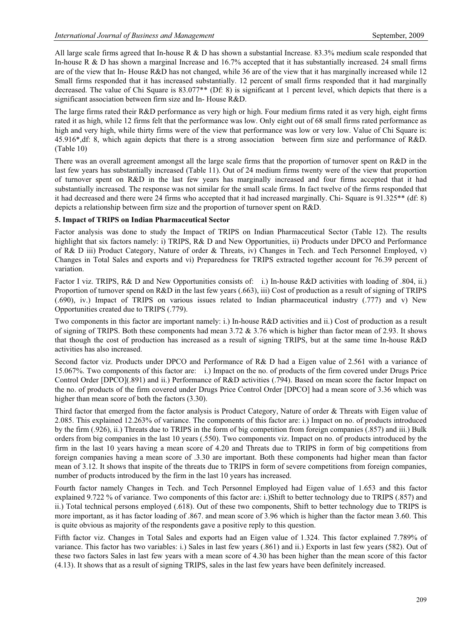All large scale firms agreed that In-house R & D has shown a substantial Increase. 83.3% medium scale responded that In-house R & D has shown a marginal Increase and 16.7% accepted that it has substantially increased. 24 small firms are of the view that In- House R&D has not changed, while 36 are of the view that it has marginally increased while 12 Small firms responded that it has increased substantially. 12 percent of small firms responded that it had marginally decreased. The value of Chi Square is 83.077\*\* (Df: 8) is significant at 1 percent level, which depicts that there is a significant association between firm size and In- House R&D.

The large firms rated their R&D performance as very high or high. Four medium firms rated it as very high, eight firms rated it as high, while 12 firms felt that the performance was low. Only eight out of 68 small firms rated performance as high and very high, while thirty firms were of the view that performance was low or very low. Value of Chi Square is: 45.916\*,df: 8, which again depicts that there is a strong association between firm size and performance of R&D. (Table 10)

There was an overall agreement amongst all the large scale firms that the proportion of turnover spent on R&D in the last few years has substantially increased (Table 11). Out of 24 medium firms twenty were of the view that proportion of turnover spent on R&D in the last few years has marginally increased and four firms accepted that it had substantially increased. The response was not similar for the small scale firms. In fact twelve of the firms responded that it had decreased and there were 24 firms who accepted that it had increased marginally. Chi- Square is 91.325\*\* (df: 8) depicts a relationship between firm size and the proportion of turnover spent on R&D.

# **5. Impact of TRIPS on Indian Pharmaceutical Sector**

Factor analysis was done to study the Impact of TRIPS on Indian Pharmaceutical Sector (Table 12). The results highlight that six factors namely: i) TRIPS, R& D and New Opportunities, ii) Products under DPCO and Performance of R& D iii) Product Category, Nature of order & Threats, iv) Changes in Tech. and Tech Personnel Employed, v) Changes in Total Sales and exports and vi) Preparedness for TRIPS extracted together account for 76.39 percent of variation.

Factor I viz. TRIPS, R& D and New Opportunities consists of: i.) In-house R&D activities with loading of .804, ii.) Proportion of turnover spend on R&D in the last few years (.663), iii) Cost of production as a result of signing of TRIPS (.690), iv.) Impact of TRIPS on various issues related to Indian pharmaceutical industry (.777) and v) New Opportunities created due to TRIPS (.779).

Two components in this factor are important namely: i.) In-house R&D activities and ii.) Cost of production as a result of signing of TRIPS. Both these components had mean  $3.72 \& 3.76$  which is higher than factor mean of 2.93. It shows that though the cost of production has increased as a result of signing TRIPS, but at the same time In-house R&D activities has also increased.

Second factor viz. Products under DPCO and Performance of R& D had a Eigen value of 2.561 with a variance of 15.067%. Two components of this factor are: i.) Impact on the no. of products of the firm covered under Drugs Price Control Order [DPCO](.891) and ii.) Performance of R&D activities (.794). Based on mean score the factor Impact on the no. of products of the firm covered under Drugs Price Control Order [DPCO] had a mean score of 3.36 which was higher than mean score of both the factors  $(3.30)$ .

Third factor that emerged from the factor analysis is Product Category, Nature of order & Threats with Eigen value of 2.085. This explained 12.263% of variance. The components of this factor are: i.) Impact on no. of products introduced by the firm (.926), ii.) Threats due to TRIPS in the form of big competition from foreign companies (.857) and iii.) Bulk orders from big companies in the last 10 years (.550). Two components viz. Impact on no. of products introduced by the firm in the last 10 years having a mean score of 4.20 and Threats due to TRIPS in form of big competitions from foreign companies having a mean score of .3.30 are important. Both these components had higher mean than factor mean of 3.12. It shows that inspite of the threats due to TRIPS in form of severe competitions from foreign companies, number of products introduced by the firm in the last 10 years has increased.

Fourth factor namely Changes in Tech. and Tech Personnel Employed had Eigen value of 1.653 and this factor explained 9.722 % of variance. Two components of this factor are: i.)Shift to better technology due to TRIPS (.857) and ii.) Total technical persons employed (.618). Out of these two components, Shift to better technology due to TRIPS is more important, as it has factor loading of .867. and mean score of 3.96 which is higher than the factor mean 3.60. This is quite obvious as majority of the respondents gave a positive reply to this question.

Fifth factor viz. Changes in Total Sales and exports had an Eigen value of 1.324. This factor explained 7.789% of variance. This factor has two variables: i.) Sales in last few years (.861) and ii.) Exports in last few years (582). Out of these two factors Sales in last few years with a mean score of 4.30 has been higher than the mean score of this factor (4.13). It shows that as a result of signing TRIPS, sales in the last few years have been definitely increased.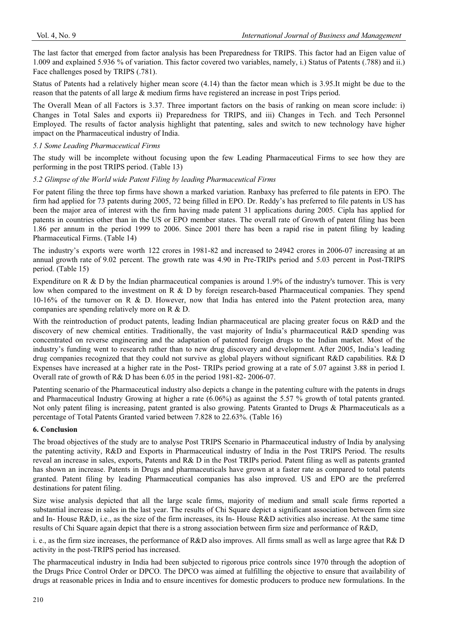The last factor that emerged from factor analysis has been Preparedness for TRIPS. This factor had an Eigen value of 1.009 and explained 5.936 % of variation. This factor covered two variables, namely, i.) Status of Patents (.788) and ii.) Face challenges posed by TRIPS (.781).

Status of Patents had a relatively higher mean score (4.14) than the factor mean which is 3.95.It might be due to the reason that the patents of all large & medium firms have registered an increase in post Trips period.

The Overall Mean of all Factors is 3.37. Three important factors on the basis of ranking on mean score include: i) Changes in Total Sales and exports ii) Preparedness for TRIPS, and iii) Changes in Tech. and Tech Personnel Employed. The results of factor analysis highlight that patenting, sales and switch to new technology have higher impact on the Pharmaceutical industry of India.

#### *5.1 Some Leading Pharmaceutical Firms*

The study will be incomplete without focusing upon the few Leading Pharmaceutical Firms to see how they are performing in the post TRIPS period. (Table 13)

#### *5.2 Glimpse of the World wide Patent Filing by leading Pharmaceutical Firms*

For patent filing the three top firms have shown a marked variation. Ranbaxy has preferred to file patents in EPO. The firm had applied for 73 patents during 2005, 72 being filled in EPO. Dr. Reddy's has preferred to file patents in US has been the major area of interest with the firm having made patent 31 applications during 2005. Cipla has applied for patents in countries other than in the US or EPO member states. The overall rate of Growth of patent filing has been 1.86 per annum in the period 1999 to 2006. Since 2001 there has been a rapid rise in patent filing by leading Pharmaceutical Firms. (Table 14)

The industry's exports were worth 122 crores in 1981-82 and increased to 24942 crores in 2006-07 increasing at an annual growth rate of 9.02 percent. The growth rate was 4.90 in Pre-TRIPs period and 5.03 percent in Post-TRIPS period. (Table 15)

Expenditure on R & D by the Indian pharmaceutical companies is around 1.9% of the industry's turnover. This is very low when compared to the investment on R & D by foreign research-based Pharmaceutical companies. They spend 10-16% of the turnover on R & D. However, now that India has entered into the Patent protection area, many companies are spending relatively more on R & D.

With the reintroduction of product patents, leading Indian pharmaceutical are placing greater focus on R&D and the discovery of new chemical entities. Traditionally, the vast majority of India's pharmaceutical R&D spending was concentrated on reverse engineering and the adaptation of patented foreign drugs to the Indian market. Most of the industry's funding went to research rather than to new drug discovery and development. After 2005, India's leading drug companies recognized that they could not survive as global players without significant R&D capabilities. R& D Expenses have increased at a higher rate in the Post- TRIPs period growing at a rate of 5.07 against 3.88 in period I. Overall rate of growth of R& D has been 6.05 in the period 1981-82- 2006-07.

Patenting scenario of the Pharmaceutical industry also depicts a change in the patenting culture with the patents in drugs and Pharmaceutical Industry Growing at higher a rate (6.06%) as against the 5.57 % growth of total patents granted. Not only patent filing is increasing, patent granted is also growing. Patents Granted to Drugs & Pharmaceuticals as a percentage of Total Patents Granted varied between 7.828 to 22.63%. (Table 16)

#### **6. Conclusion**

The broad objectives of the study are to analyse Post TRIPS Scenario in Pharmaceutical industry of India by analysing the patenting activity, R&D and Exports in Pharmaceutical industry of India in the Post TRIPS Period. The results reveal an increase in sales, exports, Patents and R& D in the Post TRIPs period. Patent filing as well as patents granted has shown an increase. Patents in Drugs and pharmaceuticals have grown at a faster rate as compared to total patents granted. Patent filing by leading Pharmaceutical companies has also improved. US and EPO are the preferred destinations for patent filing.

Size wise analysis depicted that all the large scale firms, majority of medium and small scale firms reported a substantial increase in sales in the last year. The results of Chi Square depict a significant association between firm size and In- House R&D, i.e., as the size of the firm increases, its In- House R&D activities also increase. At the same time results of Chi Square again depict that there is a strong association between firm size and performance of R&D,

i. e., as the firm size increases, the performance of R&D also improves. All firms small as well as large agree that R& D activity in the post-TRIPS period has increased.

The pharmaceutical industry in India had been subjected to rigorous price controls since 1970 through the adoption of the Drugs Price Control Order or DPCO. The DPCO was aimed at fulfilling the objective to ensure that availability of drugs at reasonable prices in India and to ensure incentives for domestic producers to produce new formulations. In the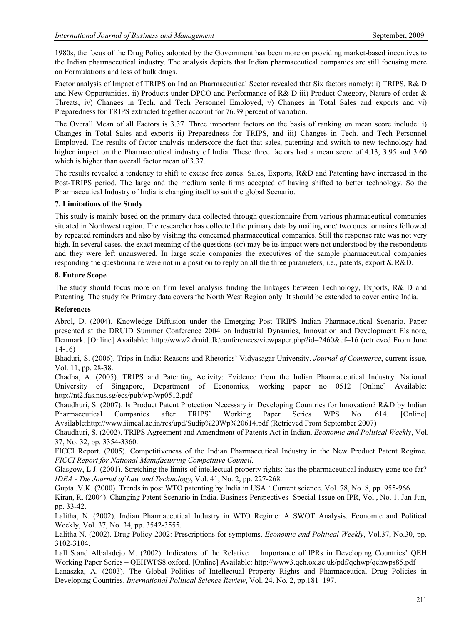1980s, the focus of the Drug Policy adopted by the Government has been more on providing market-based incentives to the Indian pharmaceutical industry. The analysis depicts that Indian pharmaceutical companies are still focusing more on Formulations and less of bulk drugs.

Factor analysis of Impact of TRIPS on Indian Pharmaceutical Sector revealed that Six factors namely: i) TRIPS, R& D and New Opportunities, ii) Products under DPCO and Performance of R& D iii) Product Category, Nature of order & Threats, iv) Changes in Tech. and Tech Personnel Employed, v) Changes in Total Sales and exports and vi) Preparedness for TRIPS extracted together account for 76.39 percent of variation.

The Overall Mean of all Factors is 3.37. Three important factors on the basis of ranking on mean score include: i) Changes in Total Sales and exports ii) Preparedness for TRIPS, and iii) Changes in Tech. and Tech Personnel Employed. The results of factor analysis underscore the fact that sales, patenting and switch to new technology had higher impact on the Pharmaceutical industry of India. These three factors had a mean score of 4.13, 3.95 and 3.60 which is higher than overall factor mean of 3.37.

The results revealed a tendency to shift to excise free zones. Sales, Exports, R&D and Patenting have increased in the Post-TRIPS period. The large and the medium scale firms accepted of having shifted to better technology. So the Pharmaceutical Industry of India is changing itself to suit the global Scenario.

#### **7. Limitations of the Study**

This study is mainly based on the primary data collected through questionnaire from various pharmaceutical companies situated in Northwest region. The researcher has collected the primary data by mailing one/ two questionnaires followed by repeated reminders and also by visiting the concerned pharmaceutical companies. Still the response rate was not very high. In several cases, the exact meaning of the questions (or) may be its impact were not understood by the respondents and they were left unanswered. In large scale companies the executives of the sample pharmaceutical companies responding the questionnaire were not in a position to reply on all the three parameters, i.e., patents, export & R&D.

#### **8. Future Scope**

The study should focus more on firm level analysis finding the linkages between Technology, Exports, R& D and Patenting. The study for Primary data covers the North West Region only. It should be extended to cover entire India.

#### **References**

Abrol, D. (2004). Knowledge Diffusion under the Emerging Post TRIPS Indian Pharmaceutical Scenario. Paper presented at the DRUID Summer Conference 2004 on Industrial Dynamics, Innovation and Development Elsinore, Denmark. [Online] Available: http://www2.druid.dk/conferences/viewpaper.php?id=2460&cf=16 (retrieved From June 14-16)

Bhaduri, S. (2006). Trips in India: Reasons and Rhetorics' Vidyasagar University. *Journal of Commerce*, current issue, Vol. 11, pp. 28-38.

Chadha, A. (2005). TRIPS and Patenting Activity: Evidence from the Indian Pharmaceutical Industry. National University of Singapore, Department of Economics, working paper no 0512 [Online] Available: http://nt2.fas.nus.sg/ecs/pub/wp/wp0512.pdf

Chaudhuri, S. (2007). Is Product Patent Protection Necessary in Developing Countries for Innovation? R&D by Indian Pharmaceutical Companies after TRIPS' Working Paper Series WPS No. 614. [Online] Available:http://www.iimcal.ac.in/res/upd/Sudip%20Wp%20614.pdf (Retrieved From September 2007)

Chaudhuri, S. (2002). TRIPS Agreement and Amendment of Patents Act in Indian. *Economic and Political Weekly*, Vol. 37, No. 32, pp. 3354-3360.

FICCI Report. (2005). Competitiveness of the Indian Pharmaceutical Industry in the New Product Patent Regime. *FICCI Report for National Manufacturing Competitive Council*.

Glasgow, L.J. (2001). Stretching the limits of intellectual property rights: has the pharmaceutical industry gone too far? *IDEA - The Journal of Law and Technology*, Vol. 41, No. 2, pp. 227-268.

Gupta .V.K. (2000). Trends in post WTO patenting by India in USA ' Current science. Vol. 78, No. 8, pp. 955-966.

Kiran, R. (2004). Changing Patent Scenario in India. Business Perspectives- Special 1ssue on IPR, Vol., No. 1. Jan-Jun, pp. 33-42.

Lalitha, N. (2002). Indian Pharmaceutical Industry in WTO Regime: A SWOT Analysis. Economic and Political Weekly, Vol. 37, No. 34, pp. 3542-3555.

Lalitha N. (2002). Drug Policy 2002: Prescriptions for symptoms. *Economic and Political Weekly*, Vol.37, No.30, pp. 3102-3104.

Lall S.and Albaladejo M. (2002). Indicators of the Relative Importance of IPRs in Developing Countries' QEH Working Paper Series – QEHWPS8.oxford. [Online] Available: http://www3.qeh.ox.ac.uk/pdf/qehwp/qehwps85.pdf

Lanaszka, A. (2003). The Global Politics of Intellectual Property Rights and Pharmaceutical Drug Policies in Developing Countries. *International Political Science Review*, Vol. 24, No. 2, pp.181–197.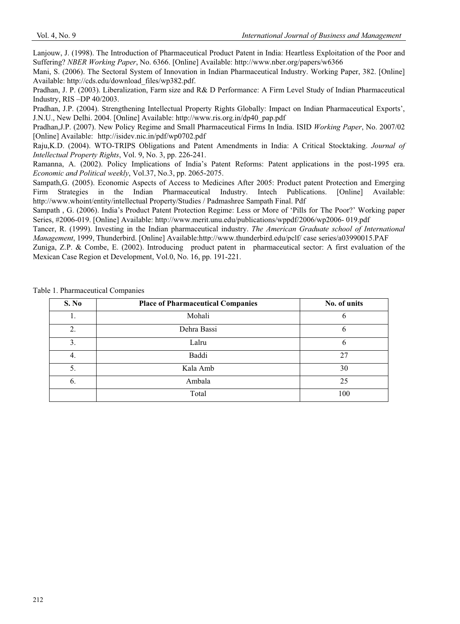Lanjouw, J. (1998). The Introduction of Pharmaceutical Product Patent in India: Heartless Exploitation of the Poor and Suffering? *NBER Working Paper*, No. 6366. [Online] Available: http://www.nber.org/papers/w6366

Mani, S. (2006). The Sectoral System of Innovation in Indian Pharmaceutical Industry. Working Paper, 382. [Online] Available: http://cds.edu/download\_files/wp382.pdf.

Pradhan, J. P. (2003). Liberalization, Farm size and R& D Performance: A Firm Level Study of Indian Pharmaceutical Industry, RIS –DP 40/2003.

Pradhan, J.P. (2004). Strengthening Intellectual Property Rights Globally: Impact on Indian Pharmaceutical Exports', J.N.U., New Delhi. 2004. [Online] Available: http://www.ris.org.in/dp40\_pap.pdf

Pradhan,J.P. (2007). New Policy Regime and Small Pharmaceutical Firms In India. ISID *Working Paper*, No. 2007/02 [Online] Available: http://isidev.nic.in/pdf/wp0702.pdf

Raju,K.D. (2004). WTO-TRIPS Obligations and Patent Amendments in India: A Critical Stocktaking. *Journal of Intellectual Property Rights*, Vol. 9, No. 3, pp. 226-241.

Ramanna, A. (2002). Policy Implications of India's Patent Reforms: Patent applications in the post-1995 era. *Economic and Political weekly*, Vol.37, No.3, pp. 2065-2075.

Sampath,G. (2005). Economic Aspects of Access to Medicines After 2005: Product patent Protection and Emerging Firm Strategies in the Indian Pharmaceutical Industry. Intech Publications. [Online] Available: http://www.whoint/entity/intellectual Property/Studies / Padmashree Sampath Final. Pdf

Sampath , G. (2006). India's Product Patent Protection Regime: Less or More of 'Pills for The Poor?' Working paper Series, #2006-019. [Online] Available: http://www.merit.unu.edu/publications/wppdf/2006/wp2006- 019.pdf

Tancer, R. (1999). Investing in the Indian pharmaceutical industry. *The American Graduate school of International Management*, 1999, Thunderbird. [Online] Available:http://www.thunderbird.edu/pclf/ case series/a03990015.PAF

Zuniga, Z.P. & Combe, E. (2002). Introducing product patent in pharmaceutical sector: A first evaluation of the Mexican Case Region et Development, Vol.0, No. 16, pp. 191-221.

| S. No | <b>Place of Pharmaceutical Companies</b> | No. of units |
|-------|------------------------------------------|--------------|
|       | Mohali                                   |              |
| 2.    | Dehra Bassi                              | h            |
| 3.    | Lalru                                    | h            |
| 4.    | Baddi                                    | 27           |
| 5.    | Kala Amb                                 | 30           |
| 6.    | Ambala                                   | 25           |
|       | Total                                    | 100          |

Table 1. Pharmaceutical Companies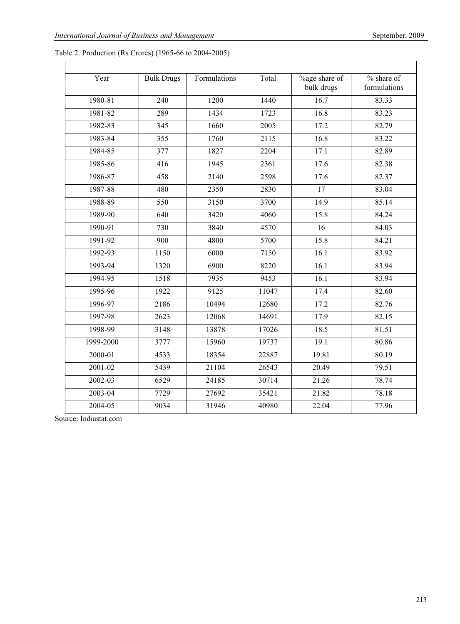$\overline{\mathsf{I}}$ 

| Year      | <b>Bulk Drugs</b> | Formulations | Total | <b>%age</b> share of<br>bulk drugs | $%$ share of<br>formulations |
|-----------|-------------------|--------------|-------|------------------------------------|------------------------------|
| 1980-81   | 240               | 1200         | 1440  | 16.7                               | 83.33                        |
| 1981-82   | 289               | 1434         | 1723  | 16.8                               | 83.23                        |
| 1982-83   | 345               | 1660         | 2005  | 17.2                               | 82.79                        |
| 1983-84   | 355               | 1760         | 2115  | 16.8                               | 83.22                        |
| 1984-85   | 377               | 1827         | 2204  | 17.1                               | 82.89                        |
| 1985-86   | 416               | 1945         | 2361  | 17.6                               | 82.38                        |
| 1986-87   | 458               | 2140         | 2598  | 17.6                               | 82.37                        |
| 1987-88   | 480               | 2350         | 2830  | 17                                 | 83.04                        |
| 1988-89   | 550               | 3150         | 3700  | 14.9                               | 85.14                        |
| 1989-90   | 640               | 3420         | 4060  | 15.8                               | 84.24                        |
| 1990-91   | 730               | 3840         | 4570  | 16                                 | 84.03                        |
| 1991-92   | 900               | 4800         | 5700  | 15.8                               | 84.21                        |
| 1992-93   | 1150              | 6000         | 7150  | 16.1                               | 83.92                        |
| 1993-94   | 1320              | 6900         | 8220  | 16.1                               | 83.94                        |
| 1994-95   | 1518              | 7935         | 9453  | 16.1                               | 83.94                        |
| 1995-96   | 1922              | 9125         | 11047 | 17.4                               | 82.60                        |
| 1996-97   | 2186              | 10494        | 12680 | 17.2                               | 82.76                        |
| 1997-98   | 2623              | 12068        | 14691 | 17.9                               | 82.15                        |
| 1998-99   | 3148              | 13878        | 17026 | 18.5                               | 81.51                        |
| 1999-2000 | 3777              | 15960        | 19737 | 19.1                               | 80.86                        |
| 2000-01   | 4533              | 18354        | 22887 | 19.81                              | 80.19                        |
| 2001-02   | 5439              | 21104        | 26543 | 20.49                              | 79.51                        |
| 2002-03   | 6529              | 24185        | 30714 | 21.26                              | 78.74                        |
| 2003-04   | 7729              | 27692        | 35421 | 21.82                              | 78.18                        |
| 2004-05   | 9034              | 31946        | 40980 | 22.04                              | 77.96                        |

Table 2. Production (Rs Crores) (1965-66 to 2004-2005)

Source: Indiastat.com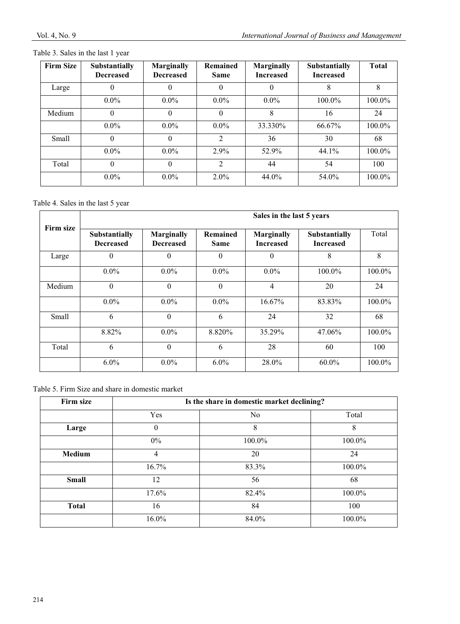| <b>Firm Size</b> | <b>Substantially</b><br><b>Decreased</b> | <b>Marginally</b><br><b>Decreased</b> | Remained<br><b>Same</b> | <b>Marginally</b><br><b>Increased</b> | Substantially<br><b>Increased</b> | <b>Total</b> |
|------------------|------------------------------------------|---------------------------------------|-------------------------|---------------------------------------|-----------------------------------|--------------|
| Large            | 0                                        | $\theta$                              | $\theta$                | $\theta$                              | 8                                 | 8            |
|                  | $0.0\%$                                  | $0.0\%$                               | $0.0\%$                 | $0.0\%$                               | $100.0\%$                         | 100.0%       |
| Medium           | $\Omega$                                 | $\Omega$                              | $\Omega$                | 8                                     | 16                                | 24           |
|                  | $0.0\%$                                  | $0.0\%$                               | $0.0\%$                 | 33.330%                               | 66.67%                            | 100.0%       |
| Small            | $\theta$                                 | $\theta$                              | 2                       | 36                                    | 30                                | 68           |
|                  | $0.0\%$                                  | $0.0\%$                               | $2.9\%$                 | 52.9%                                 | 44.1%                             | 100.0%       |
| Total            | $\theta$                                 | $\Omega$                              | 2                       | 44                                    | 54                                | 100          |
|                  | $0.0\%$                                  | $0.0\%$                               | $2.0\%$                 | 44.0%                                 | 54.0%                             | 100.0%       |

## Table 3. Sales in the last 1 year

# Table 4. Sales in the last 5 year

| Firm size | Sales in the last 5 years         |                                       |                                |                                       |                                   |           |  |  |  |
|-----------|-----------------------------------|---------------------------------------|--------------------------------|---------------------------------------|-----------------------------------|-----------|--|--|--|
|           | Substantially<br><b>Decreased</b> | <b>Marginally</b><br><b>Decreased</b> | <b>Remained</b><br><b>Same</b> | <b>Marginally</b><br><b>Increased</b> | Substantially<br><b>Increased</b> | Total     |  |  |  |
| Large     | $\overline{0}$                    | $\mathbf{0}$                          | $\mathbf{0}$                   | $\mathbf{0}$                          | 8                                 | 8         |  |  |  |
|           | $0.0\%$                           | $0.0\%$                               | $0.0\%$                        | $0.0\%$                               | 100.0%                            | 100.0%    |  |  |  |
| Medium    | $\theta$                          | $\mathbf{0}$                          | $\theta$                       | 4                                     | 20                                | 24        |  |  |  |
|           | $0.0\%$                           | $0.0\%$                               | $0.0\%$                        | 16.67%                                | 83.83%                            | 100.0%    |  |  |  |
| Small     | 6                                 | $\boldsymbol{0}$                      | 6                              | 24                                    | 32                                | 68        |  |  |  |
|           | 8.82%                             | $0.0\%$                               | 8.820%                         | 35.29%                                | 47.06%                            | $100.0\%$ |  |  |  |
| Total     | 6                                 | $\boldsymbol{0}$                      | 6                              | 28                                    | 60                                | 100       |  |  |  |
|           | $6.0\%$                           | $0.0\%$                               | $6.0\%$                        | 28.0%                                 | $60.0\%$                          | 100.0%    |  |  |  |

Table 5. Firm Size and share in domestic market

| Firm size     | Is the share in domestic market declining? |        |        |  |  |
|---------------|--------------------------------------------|--------|--------|--|--|
|               | Yes                                        | No     | Total  |  |  |
| Large         | $\theta$                                   | 8      | 8      |  |  |
|               | $0\%$                                      | 100.0% | 100.0% |  |  |
| <b>Medium</b> | 4                                          | 20     | 24     |  |  |
|               | 16.7%                                      | 83.3%  | 100.0% |  |  |
| <b>Small</b>  | 12                                         | 56     | 68     |  |  |
|               | 17.6%                                      | 82.4%  | 100.0% |  |  |
| <b>Total</b>  | 16                                         | 84     | 100    |  |  |
|               | 16.0%                                      | 84.0%  | 100.0% |  |  |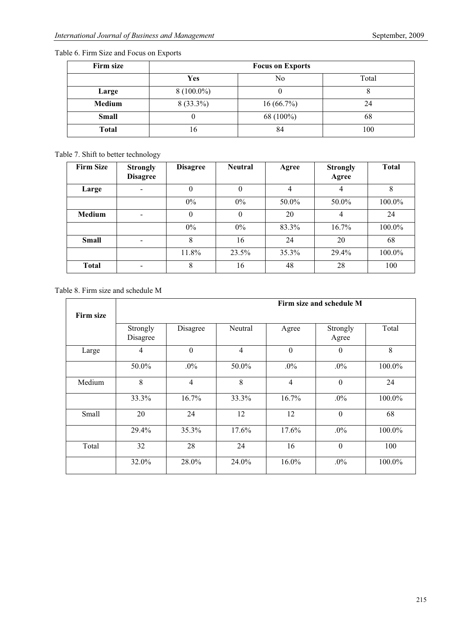| Firm size    | <b>Focus on Exports</b> |              |       |  |  |
|--------------|-------------------------|--------------|-------|--|--|
|              | Yes                     | No           | Total |  |  |
| Large        | $8(100.0\%)$            |              |       |  |  |
| Medium       | $8(33.3\%)$             | $16(66.7\%)$ | 24    |  |  |
| <b>Small</b> | U                       | 68 (100%)    | 68    |  |  |
| <b>Total</b> | 16                      | 84           | 100   |  |  |

# Table 6. Firm Size and Focus on Exports

Table 7. Shift to better technology

| <b>Firm Size</b> | <b>Strongly</b><br><b>Disagree</b> | <b>Disagree</b> | <b>Neutral</b> | Agree | <b>Strongly</b><br>Agree | <b>Total</b> |
|------------------|------------------------------------|-----------------|----------------|-------|--------------------------|--------------|
| Large            | $\blacksquare$                     | $\theta$        | $\theta$       | 4     | 4                        | 8            |
|                  |                                    | 0%              | $0\%$          | 50.0% | 50.0%                    | 100.0%       |
| <b>Medium</b>    | $\overline{\phantom{a}}$           | $\theta$        | $\theta$       | 20    | 4                        | 24           |
|                  |                                    | $0\%$           | $0\%$          | 83.3% | 16.7%                    | 100.0%       |
| <b>Small</b>     | $\blacksquare$                     | 8               | 16             | 24    | 20                       | 68           |
|                  |                                    | 11.8%           | 23.5%          | 35.3% | 29.4%                    | 100.0%       |
| <b>Total</b>     | -                                  | 8               | 16             | 48    | 28                       | 100          |

Table 8. Firm size and schedule M

|           |                      | Firm size and schedule M |                |                |                   |        |  |  |
|-----------|----------------------|--------------------------|----------------|----------------|-------------------|--------|--|--|
| Firm size |                      |                          |                |                |                   |        |  |  |
|           | Strongly<br>Disagree | Disagree                 | Neutral        | Agree          | Strongly<br>Agree | Total  |  |  |
| Large     | 4                    | $\theta$                 | $\overline{4}$ | $\theta$       | $\theta$          | 8      |  |  |
|           | 50.0%                | $.0\%$                   | 50.0%          | $.0\%$         | $.0\%$            | 100.0% |  |  |
| Medium    | 8                    | $\overline{4}$           | 8              | $\overline{4}$ | $\boldsymbol{0}$  | 24     |  |  |
|           | 33.3%                | 16.7%                    | 33.3%          | 16.7%          | $.0\%$            | 100.0% |  |  |
| Small     | 20                   | 24                       | 12             | 12             | $\boldsymbol{0}$  | 68     |  |  |
|           | 29.4%                | 35.3%                    | $17.6\%$       | 17.6%          | $.0\%$            | 100.0% |  |  |
| Total     | 32                   | 28                       | 24             | 16             | $\theta$          | 100    |  |  |
|           | 32.0%                | 28.0%                    | 24.0%          | 16.0%          | $.0\%$            | 100.0% |  |  |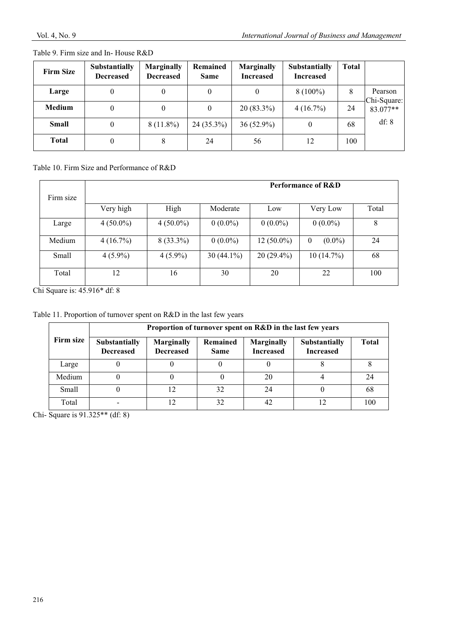| <b>Firm Size</b> | Substantially<br><b>Decreased</b> | <b>Marginally</b><br><b>Decreased</b> | Remained<br><b>Same</b> | <b>Marginally</b><br><b>Increased</b> | <b>Substantially</b><br><b>Increased</b> | Total |                         |
|------------------|-----------------------------------|---------------------------------------|-------------------------|---------------------------------------|------------------------------------------|-------|-------------------------|
| Large            | 0                                 | 0                                     |                         |                                       | $8(100\%)$                               | 8     | Pearson<br>{Chi-Square: |
| <b>Medium</b>    | $\theta$                          | $\theta$                              | $\theta$                | $20(83.3\%)$                          | $4(16.7\%)$                              | 24    | 83.077**                |
| <b>Small</b>     | $\theta$                          | $8(11.8\%)$                           | $24(35.3\%)$            | $36(52.9\%)$                          | $\theta$                                 | 68    | df: 8                   |
| <b>Total</b>     |                                   | 8                                     | 24                      | 56                                    | 12                                       | 100   |                         |

#### Table 9. Firm size and In- House R&D

# Table 10. Firm Size and Performance of R&D

| Firm size | <b>Performance of R&amp;D</b> |             |               |              |                               |       |  |  |  |
|-----------|-------------------------------|-------------|---------------|--------------|-------------------------------|-------|--|--|--|
|           | Very high                     | High        | Moderate      | Low          | Very Low                      | Total |  |  |  |
| Large     | $4(50.0\%)$                   | $4(50.0\%)$ | $0(0.0\%)$    | $0(0.0\%)$   | $0(0.0\%)$                    | 8     |  |  |  |
| Medium    | $4(16.7\%)$                   | $8(33.3\%)$ | $0(0.0\%)$    | $12(50.0\%)$ | $(0.0\%)$<br>$\boldsymbol{0}$ | 24    |  |  |  |
| Small     | $4(5.9\%)$                    | $4(5.9\%)$  | 30 $(44.1\%)$ | $20(29.4\%)$ | 10(14.7%)                     | 68    |  |  |  |
| Total     | 12                            | 16          | 30            | 20           | 22                            | 100   |  |  |  |

Chi Square is: 45.916\* df: 8

Table 11. Proportion of turnover spent on R&D in the last few years

|           | Proportion of turnover spent on R&D in the last few years |                                       |                         |                                       |                                          |              |  |  |  |
|-----------|-----------------------------------------------------------|---------------------------------------|-------------------------|---------------------------------------|------------------------------------------|--------------|--|--|--|
| Firm size | <b>Substantially</b><br><b>Decreased</b>                  | <b>Marginally</b><br><b>Decreased</b> | Remained<br><b>Same</b> | <b>Marginally</b><br><b>Increased</b> | <b>Substantially</b><br><b>Increased</b> | <b>Total</b> |  |  |  |
| Large     |                                                           |                                       |                         |                                       |                                          |              |  |  |  |
| Medium    |                                                           |                                       | 0                       | 20                                    |                                          | 24           |  |  |  |
| Small     |                                                           | 12                                    | 32                      | 24                                    | 0                                        | 68           |  |  |  |
| Total     |                                                           |                                       | 32                      | 42                                    | 12                                       | 100          |  |  |  |

Chi- Square is  $91.325**$  (df: 8)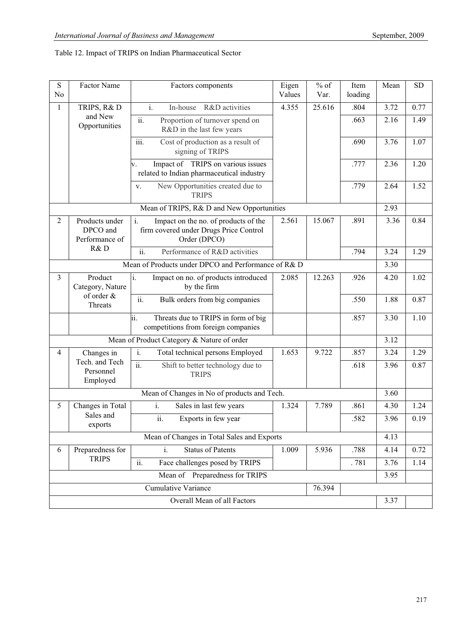# Table 12. Impact of TRIPS on Indian Pharmaceutical Sector

| S<br>No | Factor Name                                  | Factors components                                                                                   | Eigen<br>Values | $%$ of<br>Var. | Item<br>loading | Mean | <b>SD</b> |
|---------|----------------------------------------------|------------------------------------------------------------------------------------------------------|-----------------|----------------|-----------------|------|-----------|
| 1       | TRIPS, R&D                                   | $\mathbf{i}$ .<br>R&D activities<br>In-house                                                         | 4.355           | 25.616         | .804            | 3.72 | 0.77      |
|         | and New<br>Opportunities                     | $\overline{ii}$ .<br>Proportion of turnover spend on<br>R&D in the last few years                    |                 |                | .663            | 2.16 | 1.49      |
|         |                                              | iii.<br>Cost of production as a result of<br>signing of TRIPS                                        |                 |                | .690            | 3.76 | 1.07      |
|         |                                              | Impact of TRIPS on various issues<br>V.<br>related to Indian pharmaceutical industry                 |                 |                | .777            | 2.36 | 1.20      |
|         |                                              | New Opportunities created due to<br>V.<br><b>TRIPS</b>                                               |                 |                | .779            | 2.64 | 1.52      |
|         |                                              | Mean of TRIPS, R& D and New Opportunities                                                            |                 |                |                 | 2.93 |           |
| 2       | Products under<br>DPCO and<br>Performance of | i.<br>Impact on the no. of products of the<br>firm covered under Drugs Price Control<br>Order (DPCO) | 2.561           | 15.067         | .891            | 3.36 | 0.84      |
|         | R&D                                          | ii.<br>Performance of R&D activities                                                                 |                 |                | .794            | 3.24 | 1.29      |
|         |                                              | Mean of Products under DPCO and Performance of R& D                                                  |                 |                |                 | 3.30 |           |
| 3       | Product<br>Category, Nature                  | li.<br>Impact on no. of products introduced<br>by the firm                                           | 2.085           | 12.263         | .926            | 4.20 | 1.02      |
|         | of order &<br>Threats                        | ii.<br>Bulk orders from big companies                                                                |                 |                | .550            | 1.88 | 0.87      |
|         |                                              | ¦ii.<br>Threats due to TRIPS in form of big<br>competitions from foreign companies                   |                 |                | .857            | 3.30 | 1.10      |
|         |                                              | Mean of Product Category & Nature of order                                                           |                 |                |                 | 3.12 |           |
| 4       | Changes in                                   | i.<br>Total technical persons Employed                                                               | 1.653           | 9.722          | .857            | 3.24 | 1.29      |
|         | Tech. and Tech<br>Personnel<br>Employed      | $\overline{ii}$ .<br>Shift to better technology due to<br><b>TRIPS</b>                               |                 |                | .618            | 3.96 | 0.87      |
|         |                                              | Mean of Changes in No of products and Tech.                                                          |                 |                |                 | 3.60 |           |
| 5       | Changes in Total                             | $\mathbf{i}$ .<br>Sales in last few years                                                            | 1.324           | 7.789          | .861            | 4.30 | 1.24      |
|         | Sales and<br>exports                         | ii.<br>Exports in few year                                                                           |                 |                | .582            | 3.96 | 0.19      |
|         |                                              | Mean of Changes in Total Sales and Exports                                                           |                 |                |                 | 4.13 |           |
| 6       | Preparedness for                             | <b>Status of Patents</b><br>i.                                                                       | 1.009           | 5.936          | .788            | 4.14 | 0.72      |
|         | <b>TRIPS</b>                                 | $\overline{ii}$ .<br>Face challenges posed by TRIPS                                                  |                 |                | .781            | 3.76 | 1.14      |
|         |                                              | Mean of Preparedness for TRIPS                                                                       |                 |                |                 | 3.95 |           |
|         |                                              | Cumulative Variance                                                                                  |                 | 76.394         |                 |      |           |
|         |                                              | Overall Mean of all Factors                                                                          |                 |                |                 | 3.37 |           |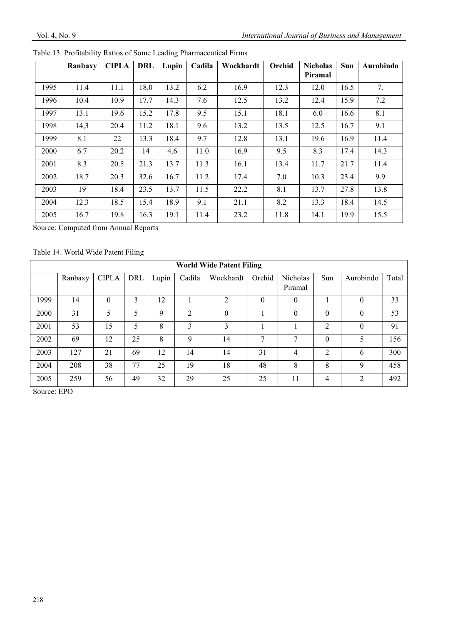|      | Ranbaxy | <b>CIPLA</b> | <b>DRL</b> | Lupin | Cadila | Wockhardt | Orchid | <b>Nicholas</b><br>Piramal | Sun  | Aurobindo |
|------|---------|--------------|------------|-------|--------|-----------|--------|----------------------------|------|-----------|
| 1995 | 11.4    | 11.1         | 18.0       | 13.2  | 6.2    | 16.9      | 12.3   | 12.0                       | 16.5 | 7.        |
| 1996 | 10.4    | 10.9         | 17.7       | 14.3  | 7.6    | 12.5      | 13.2   | 12.4                       | 15.9 | 7.2       |
| 1997 | 13.1    | 19.6         | 15.2       | 17.8  | 9.5    | 15.1      | 18.1   | 6.0                        | 16.6 | 8.1       |
| 1998 | 14,3    | 20.4         | 11.2       | 18.1  | 9.6    | 13.2      | 13.5   | 12.5                       | 16.7 | 9.1       |
| 1999 | 8.1     | 22           | 13.3       | 18.4  | 9.7    | 12.8      | 13.1   | 19.6                       | 16.9 | 11.4      |
| 2000 | 6.7     | 20.2         | 14         | 4.6   | 11.0   | 16.9      | 9.5    | 8.3                        | 17.4 | 14.3      |
| 2001 | 8.3     | 20.5         | 21.3       | 13.7  | 11.3   | 16.1      | 13.4   | 11.7                       | 21.7 | 11.4      |
| 2002 | 18.7    | 20.3         | 32.6       | 16.7  | 11.2   | 17.4      | 7.0    | 10.3                       | 23.4 | 9.9       |
| 2003 | 19      | 18.4         | 23.5       | 13.7  | 11.5   | 22.2      | 8.1    | 13.7                       | 27.8 | 13.8      |
| 2004 | 12.3    | 18.5         | 15.4       | 18.9  | 9.1    | 21.1      | 8.2    | 13.3                       | 18.4 | 14.5      |
| 2005 | 16.7    | 19.8         | 16.3       | 19.1  | 11.4   | 23.2      | 11.8   | 14.1                       | 19.9 | 15.5      |

Table 13. Profitability Ratios of Some Leading Pharmaceutical Firms

Source: Computed from Annual Reports

## Table 14. World Wide Patent Filing

| <b>World Wide Patent Filing</b> |         |              |     |       |                |                |          |                     |                |           |       |
|---------------------------------|---------|--------------|-----|-------|----------------|----------------|----------|---------------------|----------------|-----------|-------|
|                                 | Ranbaxy | <b>CIPLA</b> | DRL | Lupin | Cadila         | Wockhardt      | Orchid   | Nicholas<br>Piramal | Sun            | Aurobindo | Total |
| 1999                            | 14      | $\theta$     | 3   | 12    |                | $\overline{2}$ | $\theta$ | $\theta$            |                | $\theta$  | 33    |
| 2000                            | 31      | 5            | 5   | 9     | $\overline{2}$ | $\theta$       |          | $\theta$            | $\theta$       | $\theta$  | 53    |
| 2001                            | 53      | 15           | 5   | 8     | 3              | 3              |          |                     | $\overline{c}$ | $\theta$  | 91    |
| 2002                            | 69      | 12           | 25  | 8     | 9              | 14             | 7        | 7                   | $\theta$       | 5         | 156   |
| 2003                            | 127     | 21           | 69  | 12    | 14             | 14             | 31       | 4                   | $\overline{2}$ | 6         | 300   |
| 2004                            | 208     | 38           | 77  | 25    | 19             | 18             | 48       | 8                   | 8              | 9         | 458   |
| 2005                            | 259     | 56           | 49  | 32    | 29             | 25             | 25       | 11                  | 4              | 2         | 492   |

Source: EPO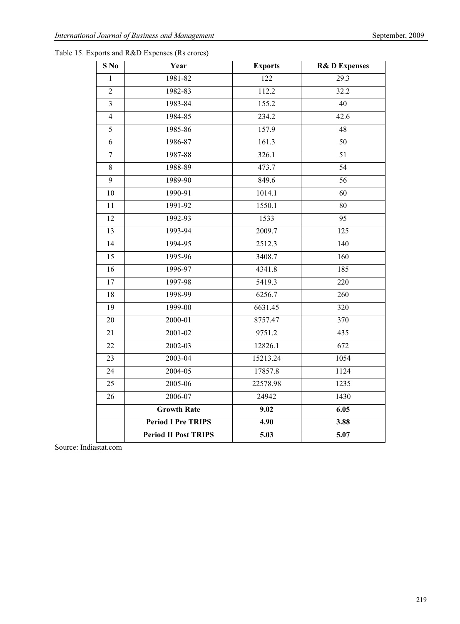| $S$ No          | Year                        | <b>Exports</b> | <b>R&amp;D</b> Expenses |
|-----------------|-----------------------------|----------------|-------------------------|
| $\mathbf{1}$    | 1981-82                     | 122            | 29.3                    |
| $\overline{2}$  | 1982-83                     | 112.2          | 32.2                    |
| $\overline{3}$  | 1983-84                     | 155.2          | 40                      |
| $\overline{4}$  | 1984-85                     | 234.2          | 42.6                    |
| 5               | 1985-86                     | 157.9          | 48                      |
| 6               | 1986-87                     | 161.3          | $\overline{50}$         |
| $\overline{7}$  | 1987-88                     | 326.1          | 51                      |
| $8\,$           | 1988-89                     | 473.7          | 54                      |
| $\overline{9}$  | 1989-90                     | 849.6          | 56                      |
| 10              | $1990 - 91$                 | 1014.1         | 60                      |
| 11              | $1991 - 92$                 | 1550.1         | 80                      |
| 12              | 1992-93                     | 1533           | 95                      |
| 13              | 1993-94                     | 2009.7         | 125                     |
| 14              | 1994-95                     | 2512.3         | 140                     |
| 15              | 1995-96                     | 3408.7         | 160                     |
| 16              | 1996-97                     | 4341.8         | 185                     |
| $\overline{17}$ | 1997-98                     | 5419.3         | 220                     |
| $18\,$          | 1998-99                     | 6256.7         | 260                     |
| 19              | 1999-00                     | 6631.45        | 320                     |
| 20              | 2000-01                     | 8757.47        | 370                     |
| 21              | 2001-02                     | 9751.2         | 435                     |
| 22              | 2002-03                     | 12826.1        | 672                     |
| 23              | 2003-04                     | 15213.24       | 1054                    |
| 24              | 2004-05                     | 17857.8        | 1124                    |
| 25              | 2005-06                     | 22578.98       | 1235                    |
| 26              | 2006-07                     | 24942          | 1430                    |
|                 | <b>Growth Rate</b>          | 9.02           | 6.05                    |
|                 | <b>Period I Pre TRIPS</b>   | 4.90           | 3.88                    |
|                 | <b>Period II Post TRIPS</b> | 5.03           | 5.07                    |

Table 15. Exports and R&D Expenses (Rs crores)

Source: Indiastat.com